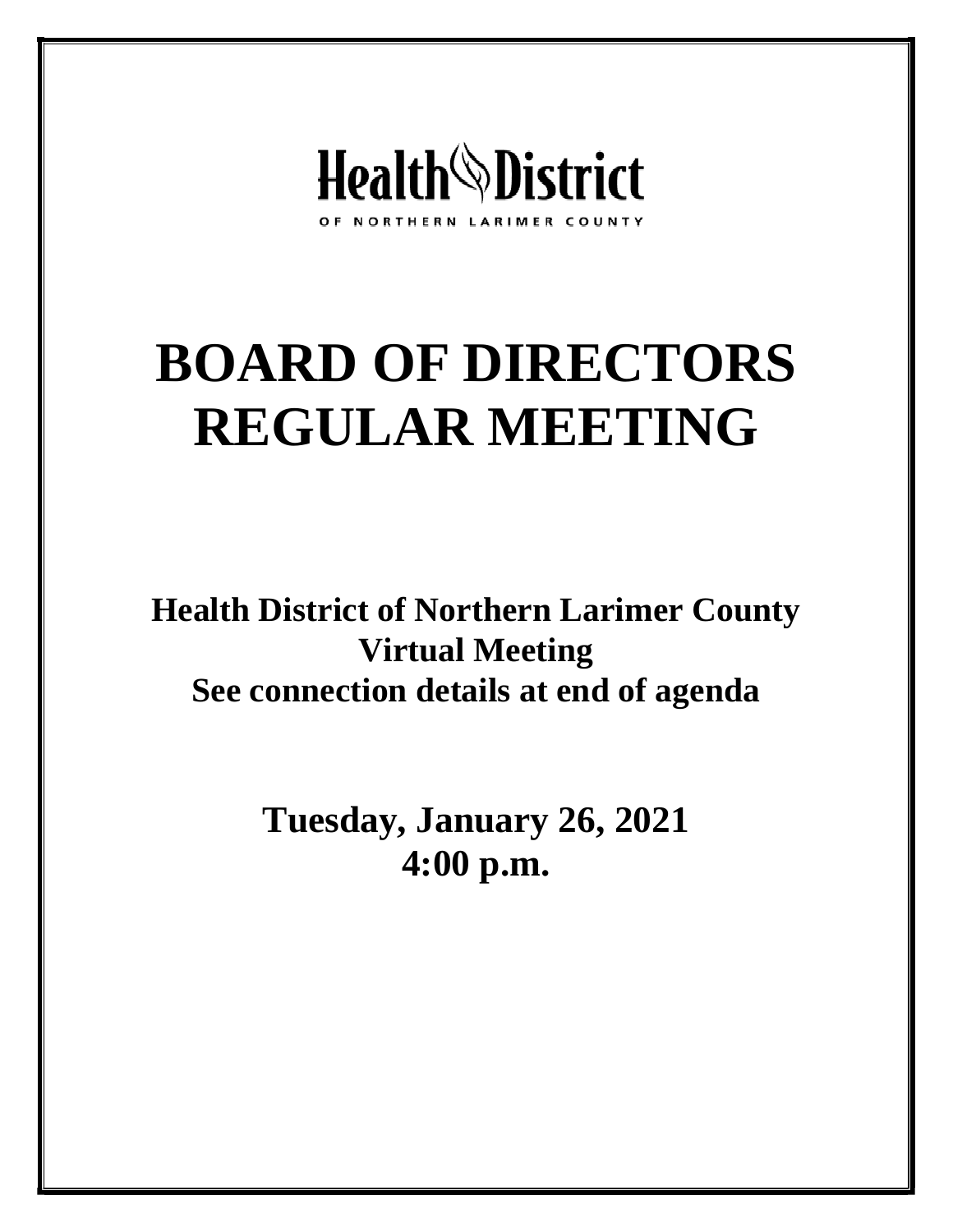

# **BOARD OF DIRECTORS REGULAR MEETING**

**Health District of Northern Larimer County Virtual Meeting See connection details at end of agenda**

> **Tuesday, January 26, 2021 4:00 p.m.**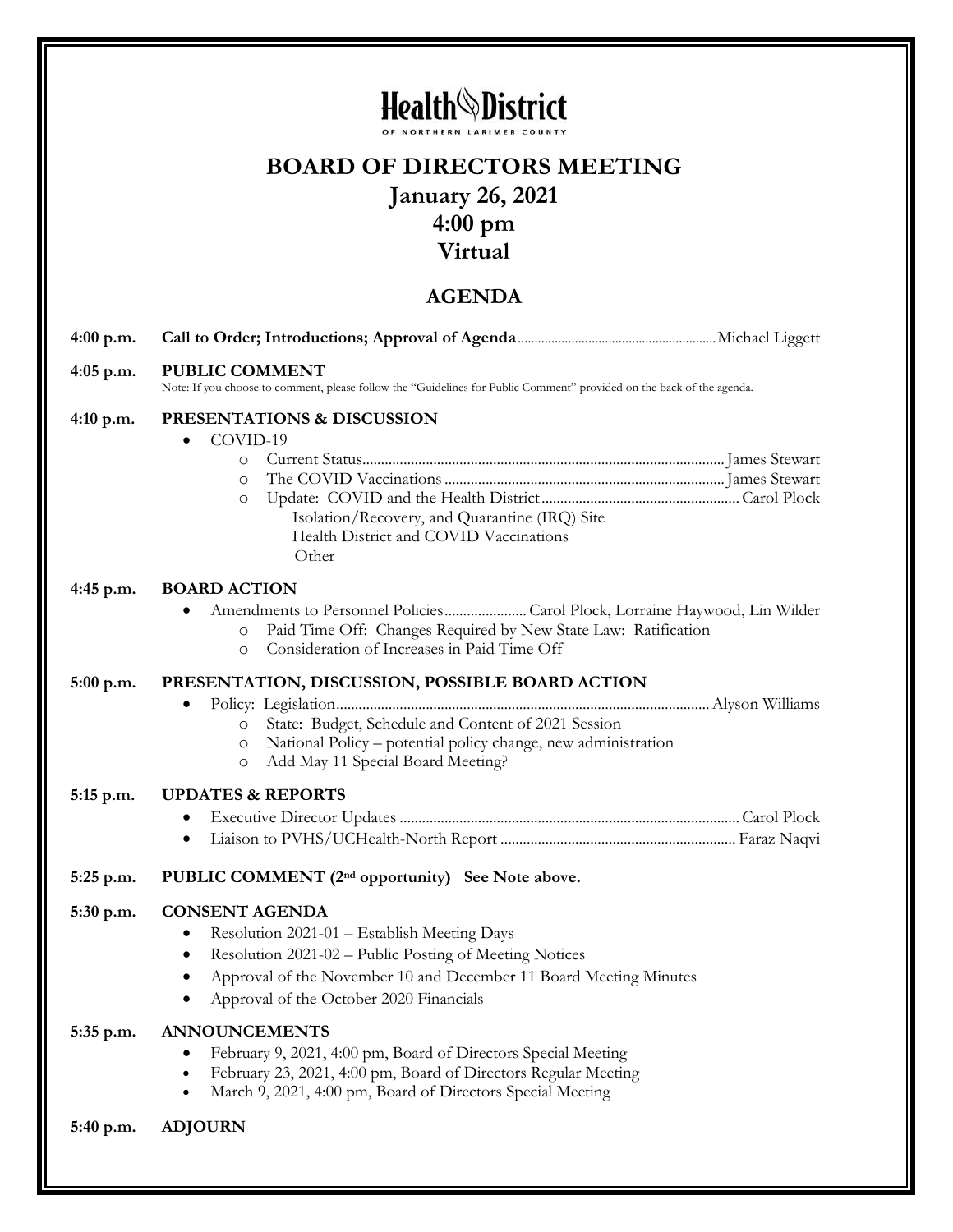## Health District

## **BOARD OF DIRECTORS MEETING January 26, 2021 4:00 pm Virtual**

### **AGENDA**

| $4:00$ p.m. |                                                                                                                                                                                                                                                                       |
|-------------|-----------------------------------------------------------------------------------------------------------------------------------------------------------------------------------------------------------------------------------------------------------------------|
| $4:05$ p.m. | <b>PUBLIC COMMENT</b><br>Note: If you choose to comment, please follow the "Guidelines for Public Comment" provided on the back of the agenda.                                                                                                                        |
| 4:10 p.m.   | PRESENTATIONS & DISCUSSION<br>COVID-19<br>$\bullet$<br>$\circ$<br>$\circ$<br>$\circ$<br>Isolation/Recovery, and Quarantine (IRQ) Site<br>Health District and COVID Vaccinations<br>Other                                                                              |
| $4:45$ p.m. | <b>BOARD ACTION</b><br>Paid Time Off: Changes Required by New State Law: Ratification<br>$\circ$<br>Consideration of Increases in Paid Time Off<br>$\circ$                                                                                                            |
| 5:00 p.m.   | PRESENTATION, DISCUSSION, POSSIBLE BOARD ACTION<br>٠<br>State: Budget, Schedule and Content of 2021 Session<br>$\circ$<br>National Policy – potential policy change, new administration<br>$\circ$<br>Add May 11 Special Board Meeting?<br>O                          |
| 5:15 p.m.   | <b>UPDATES &amp; REPORTS</b><br>٠<br>٠                                                                                                                                                                                                                                |
| 5:25 p.m.   | PUBLIC COMMENT (2 <sup>nd</sup> opportunity) See Note above.                                                                                                                                                                                                          |
| 5:30 p.m.   | <b>CONSENT AGENDA</b><br>Resolution 2021-01 - Establish Meeting Days<br>٠<br>Resolution 2021-02 – Public Posting of Meeting Notices<br>$\bullet$<br>Approval of the November 10 and December 11 Board Meeting Minutes<br>٠<br>Approval of the October 2020 Financials |
| 5:35 p.m.   | <b>ANNOUNCEMENTS</b><br>February 9, 2021, 4:00 pm, Board of Directors Special Meeting<br>February 23, 2021, 4:00 pm, Board of Directors Regular Meeting<br>March 9, 2021, 4:00 pm, Board of Directors Special Meeting                                                 |
| 5:40 p.m.   | <b>ADJOURN</b>                                                                                                                                                                                                                                                        |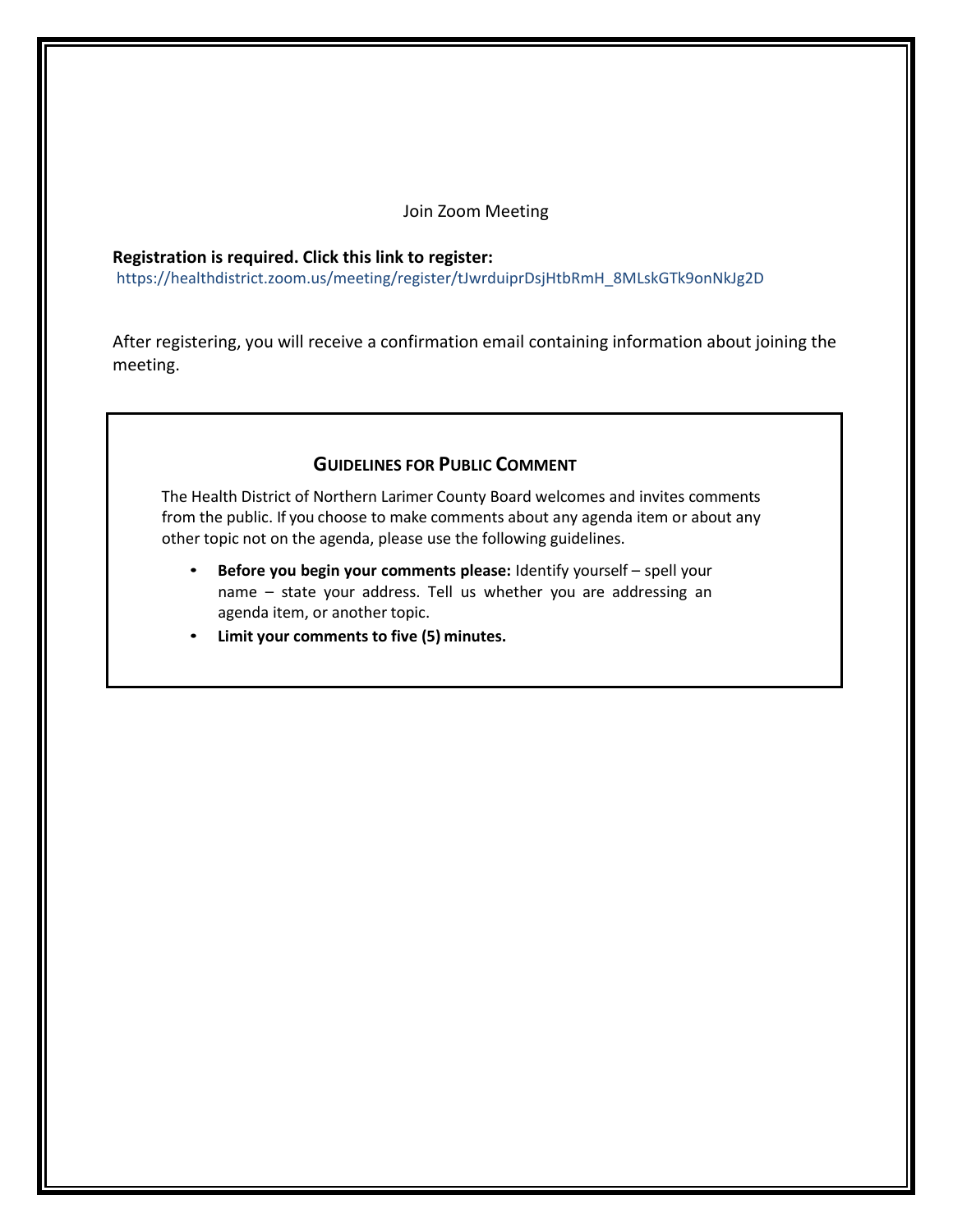#### Join Zoom Meeting

#### **Registration is required. Click this link to register:**

[https://healthdistrict.zoom.us/meeting/register/tJwrduiprDsjHtbRmH\\_8MLskGTk9onNkJg2D](https://healthdistrict.zoom.us/meeting/register/tJwpcuuqqDgvGdK-oPmZclu3X1wpmsooVldZ)

After registering, you will receive a confirmation email containing information about joining the meeting.

#### **GUIDELINES FOR PUBLIC COMMENT**

The Health District of Northern Larimer County Board welcomes and invites comments from the public. If you choose to make comments about any agenda item or about any other topic not on the agenda, please use the following guidelines.

- **Before you begin your comments please:** Identify yourself spell your name – state your address. Tell us whether you are addressing an agenda item, or another topic.
- **Limit your comments to five (5) minutes.**